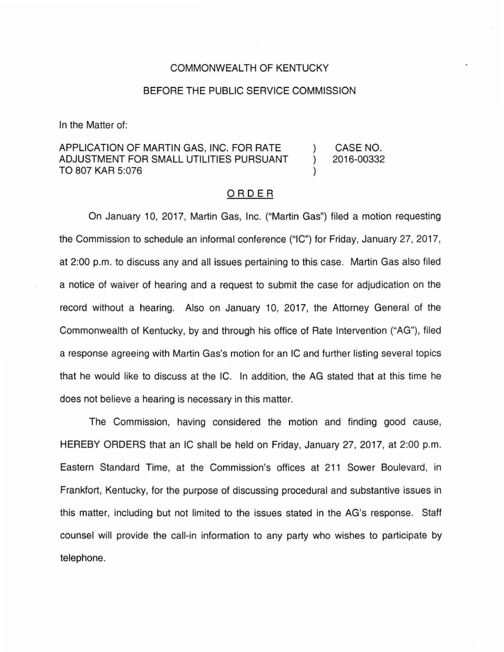## COMMONWEALTH OF KENTUCKY

## BEFORE THE PUBLIC SERVICE COMMISSION

In the Matter of:

## APPLICATION OF MARTIN GAS, INC. FOR RATE CASE NO. ADJUSTMENT FOR SMALL UTILITIES PURSUANT 2016-00332  $\mathcal{E}$ TO 807 KAR 5:076

## ORDER

On January 10, 2017, Martin Gas, Inc. ("Martin Gas") filed a motion requesting the Commission to schedule an informal conference ("IC") for Friday, January 27, 2017, at 2:00 p.m. to discuss any and all issues pertaining to this case. Martin Gas also filed a notice of waiver of hearing and a request to submit the case for adjudication on the record without a hearing. Also on January 10, 2017, the Attorney General of the Commonwealth of Kentucky, by and through his office of Rate Intervention ("AG"), filed a response agreeing with Martin Gas's motion for an IC and further listing several topics that he would like to discuss at the IC. In addition, the AG stated that at this time he does not believe a hearing is necessary in this matter.

The Commission, having considered the motion and finding good cause, HEREBY ORDERS that an IC shall be held on Friday, January 27, 2017, at 2:00 p.m. Eastern Standard Time, at the Commission's offices at 211 Sower Boulevard, in Frankfort, Kentucky, for the purpose of discussing procedural and substantive issues in this matter, including but not limited to the issues stated in the AG's response. Staff counsel will provide the call-in information to any party who wishes to participate by telephone.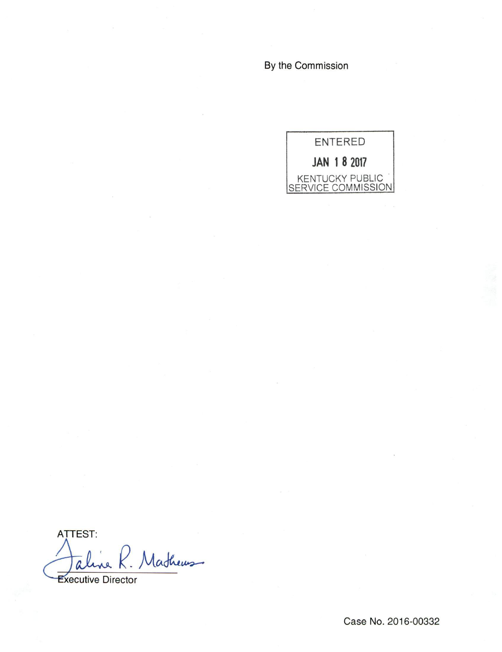By the Commission



ATTEST: Mathews aline

**Executive Director**